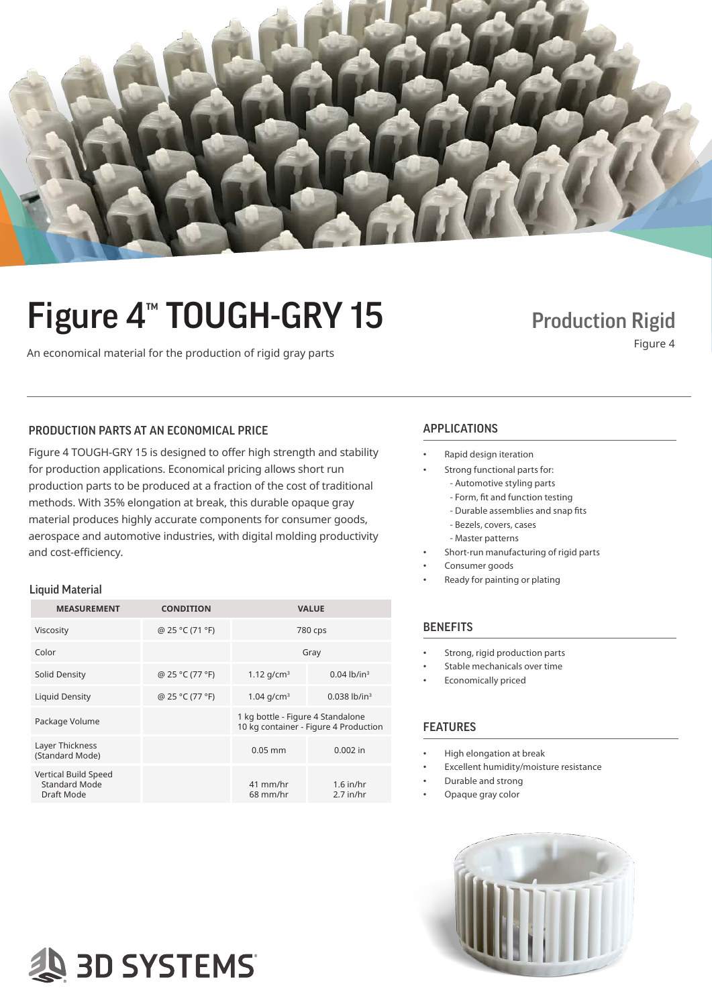

## Figure 4<sup>™</sup> TOUGH-GRY 15 Production Rigid

An economical material for the production of rigid gray parts Figure 4 and the conomical material for the production of rigid gray parts Figure 4

## PRODUCTION PARTS AT AN ECONOMICAL PRICE APPLICATIONS

Figure 4 TOUGH-GRY 15 is designed to offer high strength and stability for production applications. Economical pricing allows short run production parts to be produced at a fraction of the cost of traditional methods. With 35% elongation at break, this durable opaque gray material produces highly accurate components for consumer goods, aerospace and automotive industries, with digital molding productivity and cost-efficiency.

#### Liquid Material

| <b>MEASUREMENT</b>                                                | <b>CONDITION</b> |                                                                            | <b>VALUE</b>               |
|-------------------------------------------------------------------|------------------|----------------------------------------------------------------------------|----------------------------|
| Viscosity                                                         | @ 25 °C (71 °F)  | 780 cps                                                                    |                            |
| Color                                                             |                  | Gray                                                                       |                            |
| Solid Density                                                     | @ 25 °C (77 °F)  | 1.12 $q/cm^3$                                                              | $0.04$ lb/in <sup>3</sup>  |
| Liquid Density                                                    | @ 25 °C (77 °F)  | 1.04 $q/cm^3$                                                              | $0.038$ lb/in <sup>3</sup> |
| Package Volume                                                    |                  | 1 kg bottle - Figure 4 Standalone<br>10 kg container - Figure 4 Production |                            |
| Layer Thickness<br>(Standard Mode)                                |                  | $0.05$ mm                                                                  | $0.002$ in                 |
| <b>Vertical Build Speed</b><br><b>Standard Mode</b><br>Draft Mode |                  | 41 mm/hr<br>$68$ mm/hr                                                     | $1.6$ in/hr<br>$2.7$ in/hr |

- Rapid design iteration
	- Strong functional parts for:
		- Automotive styling parts
		- Form, fit and function testing
		- Durable assemblies and snap fits
		- Bezels, covers, cases
		- Master patterns
- Short-run manufacturing of rigid parts
- Consumer goods
- Ready for painting or plating

### BENEFITS

- Strong, rigid production parts
- Stable mechanicals over time
- Economically priced

### FEATURES

- High elongation at break
- Excellent humidity/moisture resistance
- Durable and strong
- Opaque gray color